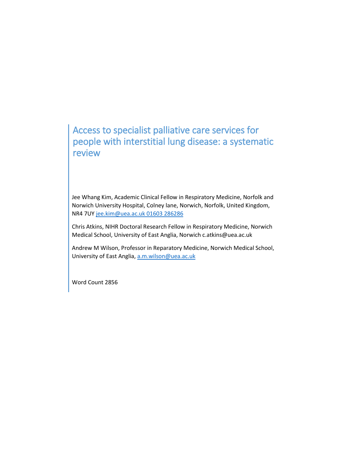# Access to specialist palliative care services for people with interstitial lung disease: a systematic review

Jee Whang Kim, Academic Clinical Fellow in Respiratory Medicine, Norfolk and Norwich University Hospital, Colney lane, Norwich, Norfolk, United Kingdom, NR4 7U[Y jee.kim@uea.ac.uk](mailto:jee.kim@uea.ac.uk) 01603 286286

Chris Atkins, NIHR Doctoral Research Fellow in Respiratory Medicine, Norwich Medical School, University of East Anglia, Norwich c.atkins@uea.ac.uk

Andrew M Wilson, Professor in Reparatory Medicine, Norwich Medical School, University of East Anglia, [a.m.wilson@uea.ac.uk](mailto:a.m.wilson@uea.ac.uk)

Word Count 2856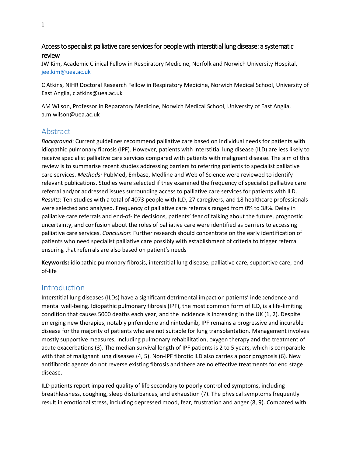# Access to specialist palliative care services for people with interstitial lung disease: a systematic review

JW Kim, Academic Clinical Fellow in Respiratory Medicine, Norfolk and Norwich University Hospital, [jee.kim@uea.ac.uk](mailto:jee.kim@uea.ac.uk)

C Atkins, NIHR Doctoral Research Fellow in Respiratory Medicine, Norwich Medical School, University of East Anglia, c.atkins@uea.ac.uk

AM Wilson, Professor in Reparatory Medicine, Norwich Medical School, University of East Anglia, a.m.wilson@uea.ac.uk

# Abstract

*Background*: Current guidelines recommend palliative care based on individual needs for patients with idiopathic pulmonary fibrosis (IPF). However, patients with interstitial lung disease (ILD) are less likely to receive specialist palliative care services compared with patients with malignant disease. The aim of this review is to summarise recent studies addressing barriers to referring patients to specialist palliative care services. *Methods:* PubMed, Embase, Medline and Web of Science were reviewed to identify relevant publications. Studies were selected if they examined the frequency of specialist palliative care referral and/or addressed issues surrounding access to palliative care services for patients with ILD. *Results*: Ten studies with a total of 4073 people with ILD, 27 caregivers, and 18 healthcare professionals were selected and analysed. Frequency of palliative care referrals ranged from 0% to 38%. Delay in palliative care referrals and end-of-life decisions, patients' fear of talking about the future, prognostic uncertainty, and confusion about the roles of palliative care were identified as barriers to accessing palliative care services. *Conclusion*: Further research should concentrate on the early identification of patients who need specialist palliative care possibly with establishment of criteria to trigger referral ensuring that referrals are also based on patient's needs

**Keywords:** idiopathic pulmonary fibrosis, interstitial lung disease, palliative care, supportive care, endof-life

## Introduction

Interstitial lung diseases (ILDs) have a significant detrimental impact on patients' independence and mental well-being. Idiopathic pulmonary fibrosis (IPF), the most common form of ILD, is a life-limiting condition that causes 5000 deaths each year, and the incidence is increasing in the UK (1, 2). Despite emerging new therapies, notably pirfenidone and nintedanib, IPF remains a progressive and incurable disease for the majority of patients who are not suitable for lung transplantation. Management involves mostly supportive measures, including pulmonary rehabilitation, oxygen therapy and the treatment of acute exacerbations (3). The median survival length of IPF patients is 2 to 5 years, which is comparable with that of malignant lung diseases (4, 5). Non-IPF fibrotic ILD also carries a poor prognosis (6). New antifibrotic agents do not reverse existing fibrosis and there are no effective treatments for end stage disease.

ILD patients report impaired quality of life secondary to poorly controlled symptoms, including breathlessness, coughing, sleep disturbances, and exhaustion (7). The physical symptoms frequently result in emotional stress, including depressed mood, fear, frustration and anger (8, 9). Compared with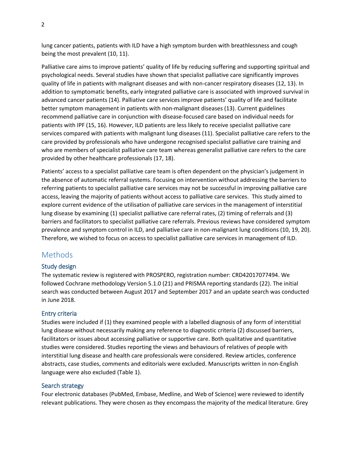lung cancer patients, patients with ILD have a high symptom burden with breathlessness and cough being the most prevalent (10, 11).

Palliative care aims to improve patients' quality of life by reducing suffering and supporting spiritual and psychological needs. Several studies have shown that specialist palliative care significantly improves quality of life in patients with malignant diseases and with non-cancer respiratory diseases (12, 13). In addition to symptomatic benefits, early integrated palliative care is associated with improved survival in advanced cancer patients (14). Palliative care services improve patients' quality of life and facilitate better symptom management in patients with non-malignant diseases (13). Current guidelines recommend palliative care in conjunction with disease-focused care based on individual needs for patients with IPF (15, 16). However, ILD patients are less likely to receive specialist palliative care services compared with patients with malignant lung diseases (11). Specialist palliative care refers to the care provided by professionals who have undergone recognised specialist palliative care training and who are members of specialist palliative care team whereas generalist palliative care refers to the care provided by other healthcare professionals (17, 18).

Patients' access to a specialist palliative care team is often dependent on the physician's judgement in the absence of automatic referral systems. Focusing on intervention without addressing the barriers to referring patients to specialist palliative care services may not be successful in improving palliative care access, leaving the majority of patients without access to palliative care services. This study aimed to explore current evidence of the utilisation of palliative care services in the management of interstitial lung disease by examining (1) specialist palliative care referral rates, (2) timing of referrals and (3) barriers and facilitators to specialist palliative care referrals. Previous reviews have considered symptom prevalence and symptom control in ILD, and palliative care in non-malignant lung conditions (10, 19, 20). Therefore, we wished to focus on access to specialist palliative care services in management of ILD.

## **Methods**

#### Study design

The systematic review is registered with PROSPERO, registration number: CRD42017077494. We followed Cochrane methodology Version 5.1.0 (21) and PRISMA reporting standards (22). The initial search was conducted between August 2017 and September 2017 and an update search was conducted in June 2018.

#### Entry criteria

Studies were included if (1) they examined people with a labelled diagnosis of any form of interstitial lung disease without necessarily making any reference to diagnostic criteria (2) discussed barriers, facilitators or issues about accessing palliative or supportive care. Both qualitative and quantitative studies were considered. Studies reporting the views and behaviours of relatives of people with interstitial lung disease and health care professionals were considered. Review articles, conference abstracts, case studies, comments and editorials were excluded. Manuscripts written in non-English language were also excluded (Table 1).

#### Search strategy

Four electronic databases (PubMed, Embase, Medline, and Web of Science) were reviewed to identify relevant publications. They were chosen as they encompass the majority of the medical literature. Grey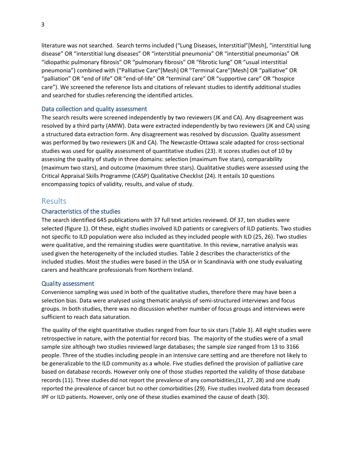literature was not searched. Search terms included ("Lung Diseases, Interstitial"[Mesh], "interstitial lung disease" OR "interstitial lung diseases" OR "interstitial pneumonia" OR "interstitial pneumonias" OR "idiopathic pulmonary fibrosis" OR "pulmonary fibrosis" OR "fibrotic lung" OR "usual interstitial pneumonia") combined with ("Palliative Care"[Mesh] OR "Terminal Care"[Mesh] OR "palliative" OR "palliation" OR "end of life" OR "end-of-life" OR "terminal care" OR "supportive care" OR "hospice care"). We screened the reference lists and citations of relevant studies to identify additional studies and searched for studies referencing the identified articles.

### Data collection and quality assessment

The search results were screened independently by two reviewers (JK and CA). Any disagreement was resolved by a third party (AMW). Data were extracted independently by two reviewers (JK and CA) using a structured data extraction form. Any disagreement was resolved by discussion. Quality assessment was performed by two reviewers (JK and CA). The Newcastle-Ottawa scale adapted for cross-sectional studies was used for quality assessment of quantitative studies (23). It scores studies out of 10 by assessing the quality of study in three domains: selection (maximum five stars), comparability (maximum two stars), and outcome (maximum three stars). Qualitative studies were assessed using the Critical Appraisal Skills Programme (CASP) Qualitative Checklist (24). It entails 10 questions encompassing topics of validity, results, and value of study.

## Results

## Characteristics of the studies

The search identified 645 publications with 37 full text articles reviewed. Of 37, ten studies were selected (figure 1). Of these, eight studies involved ILD patients or caregivers of ILD patients. Two studies not specific to ILD population were also included as they included people with ILD (25, 26). Two studies were qualitative, and the remaining studies were quantitative. In this review, narrative analysis was used given the heterogeneity of the included studies. Table 2 describes the characteristics of the included studies. Most the studies were based in the USA or in Scandinavia with one study evaluating carers and healthcare professionals from Northern Ireland.

### Quality assessment

Convenience sampling was used in both of the qualitative studies, therefore there may have been a selection bias. Data were analysed using thematic analysis of semi-structured interviews and focus groups. In both studies, there was no discussion whether number of focus groups and interviews were sufficient to reach data saturation.

The quality of the eight quantitative studies ranged from four to six stars (Table 3). All eight studies were retrospective in nature, with the potential for record bias. The majority of the studies were of a small sample size although two studies reviewed large databases; the sample size ranged from 13 to 3166 people. Three of the studies including people in an intensive care setting and are therefore not likely to be generalizable to the ILD community as a whole. Five studies defined the provision of palliative care based on database records. However only one of those studies reported the validity of those database records (11). Three studies did not report the prevalence of any comorbidities,(11, 27, 28) and one study reported the prevalence of cancer but no other comorbidities (29). Five studies involved data from deceased IPF or ILD patients. However, only one of these studies examined the cause of death (30).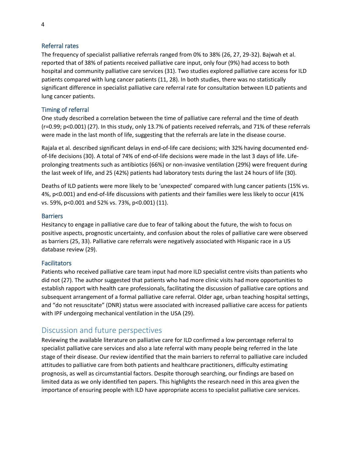## Referral rates

The frequency of specialist palliative referrals ranged from 0% to 38% (26, 27, 29-32). Bajwah et al. reported that of 38% of patients received palliative care input, only four (9%) had access to both hospital and community palliative care services (31). Two studies explored palliative care access for ILD patients compared with lung cancer patients (11, 28). In both studies, there was no statistically significant difference in specialist palliative care referral rate for consultation between ILD patients and lung cancer patients.

## Timing of referral

One study described a correlation between the time of palliative care referral and the time of death (r=0.99; p<0.001) (27). In this study, only 13.7% of patients received referrals, and 71% of these referrals were made in the last month of life, suggesting that the referrals are late in the disease course.

Rajala et al. described significant delays in end-of-life care decisions; with 32% having documented endof-life decisions (30). A total of 74% of end-of-life decisions were made in the last 3 days of life. Lifeprolonging treatments such as antibiotics (66%) or non-invasive ventilation (29%) were frequent during the last week of life, and 25 (42%) patients had laboratory tests during the last 24 hours of life (30).

Deaths of ILD patients were more likely to be 'unexpected' compared with lung cancer patients (15% vs. 4%, p<0.001) and end-of-life discussions with patients and their families were less likely to occur (41% vs. 59%, p<0.001 and 52% vs. 73%, p<0.001) (11).

### **Barriers**

Hesitancy to engage in palliative care due to fear of talking about the future, the wish to focus on positive aspects, prognostic uncertainty, and confusion about the roles of palliative care were observed as barriers (25, 33). Palliative care referrals were negatively associated with Hispanic race in a US database review (29).

### **Facilitators**

Patients who received palliative care team input had more ILD specialist centre visits than patients who did not (27). The author suggested that patients who had more clinic visits had more opportunities to establish rapport with health care professionals, facilitating the discussion of palliative care options and subsequent arrangement of a formal palliative care referral. Older age, urban teaching hospital settings, and "do not resuscitate" (DNR) status were associated with increased palliative care access for patients with IPF undergoing mechanical ventilation in the USA (29).

# Discussion and future perspectives

Reviewing the available literature on palliative care for ILD confirmed a low percentage referral to specialist palliative care services and also a late referral with many people being referred in the late stage of their disease. Our review identified that the main barriers to referral to palliative care included attitudes to palliative care from both patients and healthcare practitioners, difficulty estimating prognosis, as well as circumstantial factors. Despite thorough searching, our findings are based on limited data as we only identified ten papers. This highlights the research need in this area given the importance of ensuring people with ILD have appropriate access to specialist palliative care services.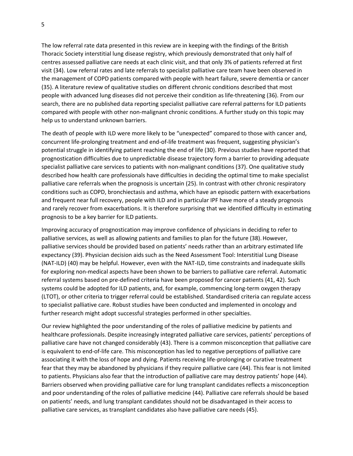The low referral rate data presented in this review are in keeping with the findings of the British Thoracic Society interstitial lung disease registry, which previously demonstrated that only half of centres assessed palliative care needs at each clinic visit, and that only 3% of patients referred at first visit (34). Low referral rates and late referrals to specialist palliative care team have been observed in the management of COPD patients compared with people with heart failure, severe dementia or cancer (35). A literature review of qualitative studies on different chronic conditions described that most people with advanced lung diseases did not perceive their condition as life-threatening (36). From our search, there are no published data reporting specialist palliative care referral patterns for ILD patients compared with people with other non-malignant chronic conditions. A further study on this topic may help us to understand unknown barriers.

The death of people with ILD were more likely to be "unexpected" compared to those with cancer and, concurrent life-prolonging treatment and end-of-life treatment was frequent, suggesting physician's potential struggle in identifying patient reaching the end of life (30). Previous studies have reported that prognostication difficulties due to unpredictable disease trajectory form a barrier to providing adequate specialist palliative care services to patients with non-malignant conditions (37). One qualitative study described how health care professionals have difficulties in deciding the optimal time to make specialist palliative care referrals when the prognosis is uncertain (25). In contrast with other chronic respiratory conditions such as COPD, bronchiectasis and asthma, which have an episodic pattern with exacerbations and frequent near full recovery, people with ILD and in particular IPF have more of a steady prognosis and rarely recover from exacerbations. It is therefore surprising that we identified difficulty in estimating prognosis to be a key barrier for ILD patients.

Improving accuracy of prognostication may improve confidence of physicians in deciding to refer to palliative services, as well as allowing patients and families to plan for the future (38).However, palliative services should be provided based on patients' needs rather than an arbitrary estimated life expectancy (39). Physician decision aids such as the Need Assessment Tool: Interstitial Lung Disease (NAT-ILD) (40) may be helpful. However, even with the NAT-ILD, time constraints and inadequate skills for exploring non-medical aspects have been shown to be barriers to palliative care referral. Automatic referral systems based on pre-defined criteria have been proposed for cancer patients (41, 42). Such systems could be adopted for ILD patients, and, for example, commencing long-term oxygen therapy (LTOT), or other criteria to trigger referral could be established. Standardised criteria can regulate access to specialist palliative care. Robust studies have been conducted and implemented in oncology and further research might adopt successful strategies performed in other specialties.

Our review highlighted the poor understanding of the roles of palliative medicine by patients and healthcare professionals. Despite increasingly integrated palliative care services, patients' perceptions of palliative care have not changed considerably (43). There is a common misconception that palliative care is equivalent to end-of-life care. This misconception has led to negative perceptions of palliative care associating it with the loss of hope and dying. Patients receiving life-prolonging or curative treatment fear that they may be abandoned by physicians if they require palliative care (44). This fear is not limited to patients. Physicians also fear that the introduction of palliative care may destroy patients' hope (44). Barriers observed when providing palliative care for lung transplant candidates reflects a misconception and poor understanding of the roles of palliative medicine (44). Palliative care referrals should be based on patients' needs, and lung transplant candidates should not be disadvantaged in their access to palliative care services, as transplant candidates also have palliative care needs (45).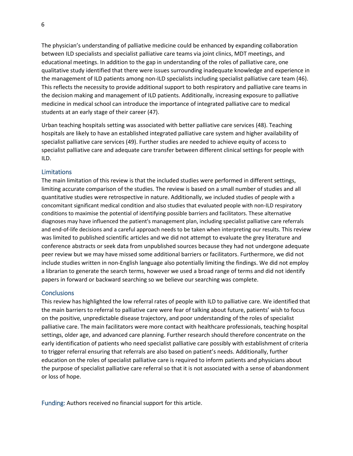The physician's understanding of palliative medicine could be enhanced by expanding collaboration between ILD specialists and specialist palliative care teams via joint clinics, MDT meetings, and educational meetings. In addition to the gap in understanding of the roles of palliative care, one qualitative study identified that there were issues surrounding inadequate knowledge and experience in the management of ILD patients among non-ILD specialists including specialist palliative care team (46). This reflects the necessity to provide additional support to both respiratory and palliative care teams in the decision making and management of ILD patients. Additionally, increasing exposure to palliative medicine in medical school can introduce the importance of integrated palliative care to medical students at an early stage of their career (47).

Urban teaching hospitals setting was associated with better palliative care services (48). Teaching hospitals are likely to have an established integrated palliative care system and higher availability of specialist palliative care services (49). Further studies are needed to achieve equity of access to specialist palliative care and adequate care transfer between different clinical settings for people with ILD.

#### Limitations

The main limitation of this review is that the included studies were performed in different settings, limiting accurate comparison of the studies. The review is based on a small number of studies and all quantitative studies were retrospective in nature. Additionally, we included studies of people with a concomitant significant medical condition and also studies that evaluated people with non-ILD respiratory conditions to maximise the potential of identifying possible barriers and facilitators. These alternative diagnoses may have influenced the patient's management plan, including specialist palliative care referrals and end-of-life decisions and a careful approach needs to be taken when interpreting our results. This review was limited to published scientific articles and we did not attempt to evaluate the grey literature and conference abstracts or seek data from unpublished sources because they had not undergone adequate peer review but we may have missed some additional barriers or facilitators. Furthermore, we did not include studies written in non-English language also potentially limiting the findings. We did not employ a librarian to generate the search terms, however we used a broad range of terms and did not identify papers in forward or backward searching so we believe our searching was complete.

#### **Conclusions**

This review has highlighted the low referral rates of people with ILD to palliative care. We identified that the main barriers to referral to palliative care were fear of talking about future, patients' wish to focus on the positive, unpredictable disease trajectory, and poor understanding of the roles of specialist palliative care. The main facilitators were more contact with healthcare professionals, teaching hospital settings, older age, and advanced care planning. Further research should therefore concentrate on the early identification of patients who need specialist palliative care possibly with establishment of criteria to trigger referral ensuring that referrals are also based on patient's needs. Additionally, further education on the roles of specialist palliative care is required to inform patients and physicians about the purpose of specialist palliative care referral so that it is not associated with a sense of abandonment or loss of hope.

Funding: Authors received no financial support for this article.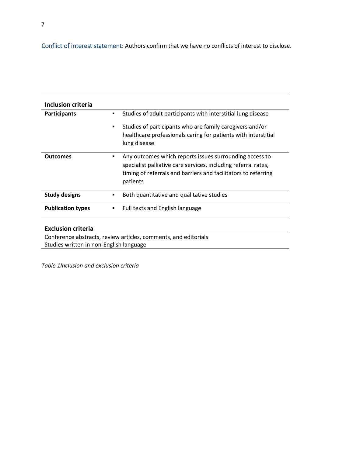Conflict of interest statement: Authors confirm that we have no conflicts of interest to disclose.

| Inclusion criteria       |                                                                                                                                                                                                              |
|--------------------------|--------------------------------------------------------------------------------------------------------------------------------------------------------------------------------------------------------------|
| <b>Participants</b>      | Studies of adult participants with interstitial lung disease<br>▪                                                                                                                                            |
|                          | Studies of participants who are family caregivers and/or<br>٠<br>healthcare professionals caring for patients with interstitial<br>lung disease                                                              |
| <b>Outcomes</b>          | Any outcomes which reports issues surrounding access to<br>٠<br>specialist palliative care services, including referral rates,<br>timing of referrals and barriers and facilitators to referring<br>patients |
| <b>Study designs</b>     | Both quantitative and qualitative studies<br>▪                                                                                                                                                               |
| <b>Publication types</b> | Full texts and English language<br>٠                                                                                                                                                                         |
| Evelusion eritorio       |                                                                                                                                                                                                              |

**Exclusion criteria**

Conference abstracts, review articles, comments, and editorials Studies written in non-English language

*Table 1Inclusion and exclusion criteria*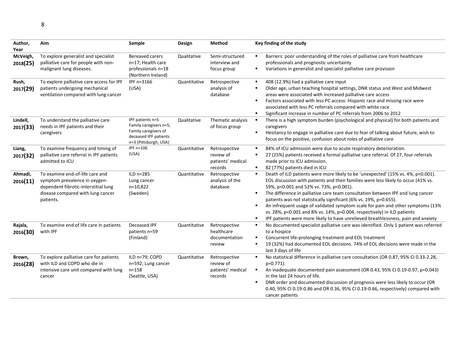| Author,<br>Year      | Aim                                                                                                                                                        | Sample                                                                                                               | Design       | <b>Method</b>                                              | Key finding of the study                                                                                                                                                                                                                                                                                                                                                                                                                                                                                                                                                                                                                                              |
|----------------------|------------------------------------------------------------------------------------------------------------------------------------------------------------|----------------------------------------------------------------------------------------------------------------------|--------------|------------------------------------------------------------|-----------------------------------------------------------------------------------------------------------------------------------------------------------------------------------------------------------------------------------------------------------------------------------------------------------------------------------------------------------------------------------------------------------------------------------------------------------------------------------------------------------------------------------------------------------------------------------------------------------------------------------------------------------------------|
| McVeigh,<br>2018(25) | To explore generalist and specialist<br>palliative care for people with non-<br>malignant lung diseases.                                                   | Bereaved carers<br>n=17; Health care<br>professionals n=18<br>(Northern Ireland)                                     | Qualitative  | Semi-structured<br>interview and<br>focus group            | Barriers: poor understanding of the roles of palliative care from healthcare<br>$\blacksquare$<br>professionals and prognostic uncertainty<br>Variations in generalist and specialist palliative care provision<br>٠                                                                                                                                                                                                                                                                                                                                                                                                                                                  |
| Rush,<br>2017(29)    | To explore palliative care access for IPF<br>patients undergoing mechanical<br>ventilation compared with lung cancer                                       | IPF n=3166<br>(USA)                                                                                                  | Quantitative | Retrospective<br>analysis of<br>database                   | 408 (12.9%) had a palliative care input<br>٠.<br>Older age, urban teaching hospital settings, DNR status and West and Midwest<br>٠<br>areas were associated with increased palliative care access<br>Factors associated with less PC access: Hispanic race and missing race were<br>٠<br>associated with less PC referrals compared with white race<br>$\blacksquare$<br>Significant increase in number of PC referrals from 2006 to 2012                                                                                                                                                                                                                             |
| Lindell,<br>2017(33) | To understand the palliative care<br>needs in IPF patients and their<br>caregivers                                                                         | IPF patients n=5<br>Family caregivers n=5;<br>Family caregivers of<br>deceased IPF patients<br>n=3 (Pittsburgh, USA) | Qualitative  | Thematic analysis<br>of focus group                        | There is a high symptom burden (psychological and physical) for both patients and<br>$\blacksquare$<br>caregivers<br>$\blacksquare$<br>Hesitancy to engage in palliative care due to fear of talking about future, wish to<br>focus on the positive, confusion about roles of palliative care                                                                                                                                                                                                                                                                                                                                                                         |
| Liang,<br>2017(32)   | To examine frequency and timing of<br>palliative care referral in IPF patients<br>admitted to ICU                                                          | IPF n=106<br>(USA)                                                                                                   | Quantitative | Retrospective<br>review of<br>patients' medical<br>records | 84% of ICU admission were due to acute respiratory deterioration.<br>٠<br>27 (25%) patients received a formal palliative care referral. Of 27, four referrals<br>٠<br>made prior to ICU admission.<br>$\blacksquare$<br>82 (77%) patients died in ICU                                                                                                                                                                                                                                                                                                                                                                                                                 |
| Ahmadi,<br>2016(11)  | To examine end-of-life care and<br>symptom prevalence in oxygen-<br>dependent fibrotic-interstitial lung<br>disease compared with lung cancer<br>patients. | ILD n=285<br>Lung cancer<br>n=10,822<br>(Sweden)                                                                     | Quantitative | Retrospective<br>analysis of the<br>database               | Death of ILD patients were more likely to be 'unexpected' (15% vs. 4%, p<0.001).<br>$\blacksquare$<br>EOL discussion with patients and their families were less likely to occur (41% vs.<br>59%, p<0.001 and 52% vs. 73%, p<0.001).<br>The difference in palliative care team consultation between IPF and lung cancer<br>٠<br>patients was not statistically significant (6% vs. 19%, p=0.655).<br>An infrequent usage of validated symptom scale for pain and other symptoms (13%<br>$\blacksquare$<br>vs. 28%, p<0.001 and 8% vs. 14%, p=0.004, respectively) in ILD patients<br>IPF patients were more likely to have unrelieved breathlessness, pain and anxiety |
| Rajala,<br>2016(30)  | To examine end of life care in patients<br>with IPF                                                                                                        | Deceased IPF<br>patients n=59<br>(Finland)                                                                           | Quantitative | Retrospective<br>healthcare<br>documentation<br>review     | No documented specialist palliative care was identified. Only 1 patient was referred<br>$\blacksquare$<br>to a hospice<br>Concurrent life-prolonging treatment and EOL treatment<br>٠<br>19 (32%) had documented EOL decisions. 74% of EOL decisions were made in the<br>٠<br>last 3 days of life                                                                                                                                                                                                                                                                                                                                                                     |
| Brown,<br>2016(28)   | To explore palliative care for patients<br>with ILD and COPD who die in<br>intensive care unit compared with lung<br>cancer                                | ILD n=79; COPD<br>n=592; Lung cancer<br>$n = 158$<br>(Seattle, USA)                                                  | Quantitative | Retrospective<br>review of<br>patients' medical<br>records | No statistical difference in palliative care consultation (OR 0.87, 95% CI 0.33-2.28,<br>$\blacksquare$<br>p=0.771).<br>An inadequate documented pain assessment (OR 0.43, 95% CI 0.19-0.97, p=0.043)<br>$\blacksquare$<br>in the last 24 hours of life.<br>DNR order and documented discussion of prognosis were less likely to occur (OR<br>٠<br>0.40, 95% CI 0.19-0.86 and OR 0.36, 95% CI 0.19-0.66, respectively) compared with<br>cancer patients                                                                                                                                                                                                               |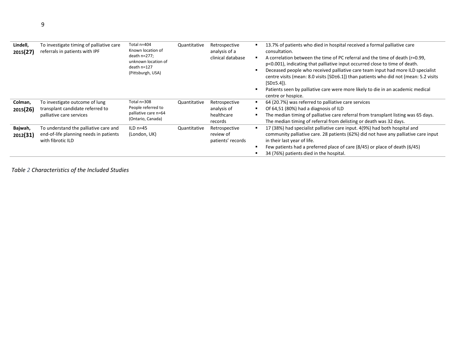| Lindell,<br>2015(27) | To investigate timing of palliative care<br>referrals in patients with IPF                           | Total n=404<br>Known location of<br>death n=277;<br>unknown location of<br>death n=127<br>(Pittsburgh, USA) | Quantitative | Retrospective<br>analysis of a<br>clinical database   | $\blacksquare$<br>$\blacksquare$ | 13.7% of patients who died in hospital received a formal palliative care<br>consultation.<br>A correlation between the time of PC referral and the time of death (r=0.99,<br>p<0.001), indicating that palliative input occurred close to time of death.<br>Deceased people who received palliative care team input had more ILD specialist<br>centre visits (mean: 8.0 visits [SD±6.1]) than patients who did not (mean: 5.2 visits<br>$[SD±5.4]$ ).<br>Patients seen by palliative care were more likely to die in an academic medical<br>centre or hospice. |
|----------------------|------------------------------------------------------------------------------------------------------|-------------------------------------------------------------------------------------------------------------|--------------|-------------------------------------------------------|----------------------------------|----------------------------------------------------------------------------------------------------------------------------------------------------------------------------------------------------------------------------------------------------------------------------------------------------------------------------------------------------------------------------------------------------------------------------------------------------------------------------------------------------------------------------------------------------------------|
| Colman,<br>2015(26)  | To investigate outcome of lung<br>transplant candidate referred to<br>palliative care services       | Total n=308<br>People referred to<br>palliative care n=64<br>(Ontario, Canada)                              | Quantitative | Retrospective<br>analysis of<br>healthcare<br>records | ٠<br>٠                           | 64 (20.7%) was referred to palliative care services<br>Of 64,51 (80%) had a diagnosis of ILD<br>The median timing of palliative care referral from transplant listing was 65 days.<br>The median timing of referral from delisting or death was 32 days.                                                                                                                                                                                                                                                                                                       |
| Bajwah,<br>2012(31)  | To understand the palliative care and<br>end-of-life planning needs in patients<br>with fibrotic ILD | ILD $n=45$<br>(London, UK)                                                                                  | Quantitative | Retrospective<br>review of<br>patients' records       |                                  | 17 (38%) had specialist palliative care input. 4(9%) had both hospital and<br>community palliative care. 28 patients (62%) did not have any palliative care input<br>in their last year of life.<br>Few patients had a preferred place of care (8/45) or place of death (6/45)<br>34 (76%) patients died in the hospital.                                                                                                                                                                                                                                      |

*Table 2 Characteristics of the Included Studies*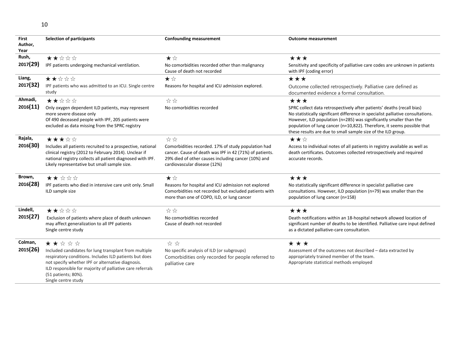| First    | <b>Selection of participants</b>                                                                                    | <b>Confounding measurement</b>                                                                                 | <b>Outcome measurement</b>                                                                                                              |
|----------|---------------------------------------------------------------------------------------------------------------------|----------------------------------------------------------------------------------------------------------------|-----------------------------------------------------------------------------------------------------------------------------------------|
| Author,  |                                                                                                                     |                                                                                                                |                                                                                                                                         |
| Year     |                                                                                                                     |                                                                                                                |                                                                                                                                         |
| Rush,    | ★★☆☆☆                                                                                                               | ★☆                                                                                                             | ***                                                                                                                                     |
| 2017(29) | IPF patients undergoing mechanical ventilation.                                                                     | No comorbidities recorded other than malignancy                                                                | Sensitivity and specificity of palliative care codes are unknown in patients                                                            |
|          |                                                                                                                     | Cause of death not recorded                                                                                    | with IPF (coding error)                                                                                                                 |
| Liang,   | ★★☆☆☆                                                                                                               | ★☆                                                                                                             | ***                                                                                                                                     |
| 2017(32) | IPF patients who was admitted to an ICU. Single centre                                                              | Reasons for hospital and ICU admission explored.                                                               | Outcome collected retrospectively. Palliative care defined as                                                                           |
|          | study                                                                                                               |                                                                                                                | documented evidence a formal consultation.                                                                                              |
| Ahmadi,  | ★★☆☆☆                                                                                                               | ☆☆                                                                                                             | ***                                                                                                                                     |
| 2016(11) | Only oxygen dependent ILD patients, may represent                                                                   | No comorbidities recorded                                                                                      | SPRC collect data retrospectively after patients' deaths (recall bias)                                                                  |
|          | more severe disease only                                                                                            |                                                                                                                | No statistically significant difference in specialist palliative consultations.                                                         |
|          | Of 490 deceased people with IPF, 205 patients were                                                                  |                                                                                                                | However, ILD population (n=285) was significantly smaller than the                                                                      |
|          | excluded as data missing from the SPRC registry                                                                     |                                                                                                                | population of lung cancer (n=10,822). Therefore, it seems possible that<br>these results are due to small sample size of the ILD group. |
| Rajala,  |                                                                                                                     |                                                                                                                |                                                                                                                                         |
|          | ★★★☆☆                                                                                                               | ☆☆                                                                                                             | ★★☆                                                                                                                                     |
| 2016(30) | Includes all patients recruited to a prospective, national                                                          | Comorbidities recorded. 17% of study population had                                                            | Access to individual notes of all patients in registry available as well as                                                             |
|          | clinical registry (2012 to February 2014). Unclear if<br>national registry collects all patient diagnosed with IPF. | cancer. Cause of death was IPF in 42 (71%) of patients.<br>29% died of other causes including cancer (10%) and | death certificates. Outcomes collected retrospectively and required<br>accurate records.                                                |
|          | Likely representative but small sample size.                                                                        | cardiovascular disease (12%)                                                                                   |                                                                                                                                         |
|          |                                                                                                                     |                                                                                                                |                                                                                                                                         |
| Brown,   | ★★☆☆☆                                                                                                               | ★☆                                                                                                             | ***                                                                                                                                     |
| 2016(28) | IPF patients who died in intensive care unit only. Small                                                            | Reasons for hospital and ICU admission not explored                                                            | No statistically significant difference in specialist palliative care                                                                   |
|          | ILD sample size                                                                                                     | Comorbidities not recorded but excluded patients with                                                          | consultations. However, ILD population (n=79) was smaller than the                                                                      |
|          |                                                                                                                     | more than one of COPD, ILD, or lung cancer                                                                     | population of lung cancer (n=158)                                                                                                       |
|          |                                                                                                                     |                                                                                                                |                                                                                                                                         |
| Lindell, | ★★☆☆☆                                                                                                               | ☆☆                                                                                                             | ***                                                                                                                                     |
| 2015(27) | Exclusion of patients where place of death unknown                                                                  | No comorbidities recorded                                                                                      | Death notifications within an 18-hospital network allowed location of                                                                   |
|          | may affect generalization to all IPF patients                                                                       | Cause of death not recorded                                                                                    | significant number of deaths to be identified. Palliative care input defined                                                            |
|          | Single centre study                                                                                                 |                                                                                                                | as a dictated palliative-care consultation.                                                                                             |
| Colman,  | ★★☆☆☆                                                                                                               | ☆ ☆                                                                                                            | ***                                                                                                                                     |
| 2015(26) | Included candidates for lung transplant from multiple                                                               | No specific analysis of ILD (or subgroups)                                                                     | Assessment of the outcomes not described - data extracted by                                                                            |
|          | respiratory conditions. Includes ILD patients but does                                                              | Comorbidities only recorded for people referred to                                                             | appropriately trained member of the team.                                                                                               |
|          | not specify whether IPF or alternative diagnosis.                                                                   | palliative care                                                                                                | Appropriate statistical methods employed                                                                                                |
|          | ILD responsible for majority of palliative care referrals                                                           |                                                                                                                |                                                                                                                                         |
|          | (51 patients; 80%).                                                                                                 |                                                                                                                |                                                                                                                                         |

Single centre study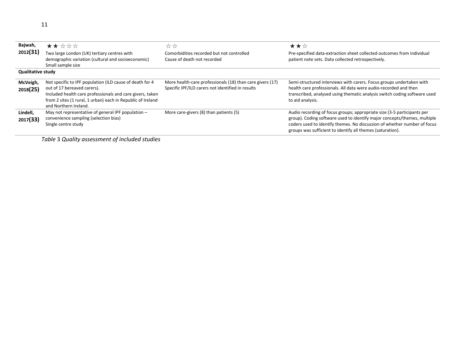| I | I |
|---|---|
|   |   |
|   |   |
|   |   |
|   |   |
|   |   |
|   |   |

| Bajwah,<br>2012(31)      | ★★☆☆☆<br>Two large London (UK) tertiary centres with<br>demographic variation (cultural and socioeconomic)<br>Small sample size                                                                                                              | ☆☆<br>Comorbidities recorded but not controlled<br>Cause of death not recorded                                 | ★★☆<br>Pre-specified data-extraction sheet collected outcomes from individual<br>patient note sets. Data collected retrospectively.                                                                                                                                                           |
|--------------------------|----------------------------------------------------------------------------------------------------------------------------------------------------------------------------------------------------------------------------------------------|----------------------------------------------------------------------------------------------------------------|-----------------------------------------------------------------------------------------------------------------------------------------------------------------------------------------------------------------------------------------------------------------------------------------------|
| <b>Qualitative study</b> |                                                                                                                                                                                                                                              |                                                                                                                |                                                                                                                                                                                                                                                                                               |
| McVeigh,<br>2018(25)     | Not specific to IPF population (ILD cause of death for 4<br>out of 17 bereaved carers).<br>Included health care professionals and care givers, taken<br>from 2 sites (1 rural, 1 urban) each in Republic of Ireland<br>and Northern Ireland. | More health-care professionals (18) than care givers (17)<br>Specific IPF/ILD carers not identified in results | Semi-structured interviews with carers. Focus groups undertaken with<br>health care professionals. All data were audio-recorded and then<br>transcribed, analysed using thematic analysis switch coding software used<br>to aid analysis.                                                     |
| Lindell,<br>2017(33)     | May not representative of general IPF population -<br>convenience sampling (selection bias)<br>Single centre study                                                                                                                           | More care-givers (8) than patients (5)                                                                         | Audio recording of focus groups; appropriate size (3-5 participants per<br>group). Coding software used to identify major concepts/themes, multiple<br>coders used to identify themes. No discussion of whether number of focus<br>groups was sufficient to identify all themes (saturation). |

*Table* 3 *Quality assessment of included studies*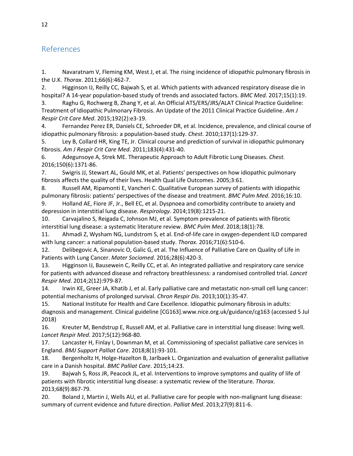# References

1. Navaratnam V, Fleming KM, West J, et al. The rising incidence of idiopathic pulmonary fibrosis in the U.K. *Thorax*. 2011;66(6):462-7.

2. Higginson IJ, Reilly CC, Bajwah S, et al. Which patients with advanced respiratory disease die in hospital? A 14-year population-based study of trends and associated factors. *BMC Med*. 2017;15(1):19.

3. Raghu G, Rochwerg B, Zhang Y, et al. An Official ATS/ERS/JRS/ALAT Clinical Practice Guideline: Treatment of Idiopathic Pulmonary Fibrosis. An Update of the 2011 Clinical Practice Guideline. *Am J Respir Crit Care Med*. 2015;192(2):e3-19.

4. Fernandez Perez ER, Daniels CE, Schroeder DR, et al. Incidence, prevalence, and clinical course of idiopathic pulmonary fibrosis: a population-based study. *Chest.* 2010;137(1):129-37.

5. Ley B, Collard HR, King TE, Jr. Clinical course and prediction of survival in idiopathic pulmonary fibrosis. *Am J Respir Crit Care Med*. 2011;183(4):431-40.

6. Adegunsoye A, Strek ME. Therapeutic Approach to Adult Fibrotic Lung Diseases. *Chest.* 2016;150(6):1371-86.

7. Swigris JJ, Stewart AL, Gould MK, et al. Patients' perspectives on how idiopathic pulmonary fibrosis affects the quality of their lives. Health Qual Life Outcomes. 2005;3:61.

8. Russell AM, Ripamonti E, Vancheri C. Qualitative European survey of patients with idiopathic pulmonary fibrosis: patients' perspectives of the disease and treatment. *BMC Pulm Med*. 2016;16:10.

9. Holland AE, Fiore JF, Jr., Bell EC, et al. Dyspnoea and comorbidity contribute to anxiety and depression in interstitial lung disease. *Respirology*. 2014;19(8):1215-21.

10. Carvajalino S, Reigada C, Johnson MJ, et al. Symptom prevalence of patients with fibrotic interstitial lung disease: a systematic literature review. *BMC Pulm Med*. 2018;18(1):78.

11. Ahmadi Z, Wysham NG, Lundstrom S, et al. End-of-life care in oxygen-dependent ILD compared with lung cancer: a national population-based study. *Thorax*. 2016;71(6):510-6.

12. Delibegovic A, Sinanovic O, Galic G, et al. The Influence of Palliative Care on Quality of Life in Patients with Lung Cancer. *Mater Sociomed*. 2016;28(6):420-3.

13. Higginson IJ, Bausewein C, Reilly CC, et al. An integrated palliative and respiratory care service for patients with advanced disease and refractory breathlessness: a randomised controlled trial. *Lancet Respir Med*. 2014;2(12):979-87.

14. Irwin KE, Greer JA, Khatib J, et al. Early palliative care and metastatic non-small cell lung cancer: potential mechanisms of prolonged survival. *Chron Respir Dis*. 2013;10(1):35-47.

15. National Institute for Health and Care Excellence. Idiopathic pulmonary fibrosis in adults: diagnosis and management. Clinical guideline [CG163].www.nice.org.uk/guidance/cg163 (accessed 5 Jul 2018)

16. Kreuter M, Bendstrup E, Russell AM, et al. Palliative care in interstitial lung disease: living well. *Lancet Respir Med*. 2017;5(12):968-80.

17. Lancaster H, Finlay I, Downman M, et al. Commissioning of specialist palliative care services in England. *BMJ Support Palliat Care*. 2018;8(1):93-101.

18. Bergenholtz H, Holge-Hazelton B, Jarlbaek L. Organization and evaluation of generalist palliative care in a Danish hospital. *BMC Palliat Care*. 2015;14:23.

19. Bajwah S, Ross JR, Peacock JL, et al. Interventions to improve symptoms and quality of life of patients with fibrotic interstitial lung disease: a systematic review of the literature. *Thorax*. 2013;68(9):867-79.

20. Boland J, Martin J, Wells AU, et al. Palliative care for people with non-malignant lung disease: summary of current evidence and future direction. *Palliat Med*. 2013;27(9):811-6.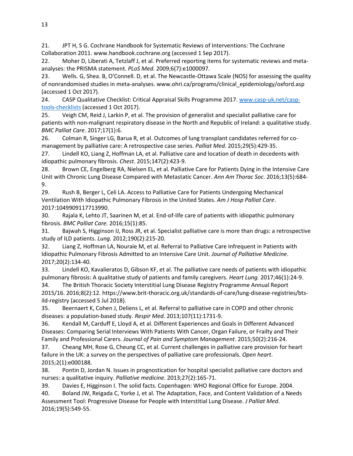21. JPT H, S G. Cochrane Handbook for Systematic Reviews of Interventions: The Cochrane Collaboration 2011. www.handbook.cochrane.org (accessed 1 Sep 2017).

22. Moher D, Liberati A, Tetzlaff J, et al. Preferred reporting items for systematic reviews and metaanalyses: the PRISMA statement. *PLoS Med.* 2009;6(7):e1000097.

23. Wells. G, Shea. B, O'Connell. D, et al. The Newcastle-Ottawa Scale (NOS) for assessing the quality of nonrandomised studies in meta-analyses. www.ohri.ca/programs/clinical\_epidemiology/oxford.asp (accessed 1 Oct 2017).

24. CASP Qualitative Checklist: Critical Appraisal Skills Programme 2017. [www.casp-uk.net/casp](http://www.casp-uk.net/casp-tools-checklists)[tools-checklists](http://www.casp-uk.net/casp-tools-checklists) (accessed 1 Oct 2017).

25. Veigh CM, Reid J, Larkin P, et al. The provision of generalist and specialist palliative care for patients with non-malignant respiratory disease in the North and Republic of Ireland: a qualitative study. *BMC Palliat Care*. 2017;17(1):6.

26. Colman R, Singer LG, Barua R, et al. Outcomes of lung transplant candidates referred for comanagement by palliative care: A retrospective case series. *Palliat Med.* 2015;29(5):429-35.

27. Lindell KO, Liang Z, Hoffman LA, et al. Palliative care and location of death in decedents with idiopathic pulmonary fibrosis. *Chest*. 2015;147(2):423-9.

28. Brown CE, Engelberg RA, Nielsen EL, et al. Palliative Care for Patients Dying in the Intensive Care Unit with Chronic Lung Disease Compared with Metastatic Cancer. *Ann Am Thorac Soc*. 2016;13(5):684- 9.

29. Rush B, Berger L, Celi LA. Access to Palliative Care for Patients Undergoing Mechanical Ventilation With Idiopathic Pulmonary Fibrosis in the United States. *Am J Hosp Palliat Care*. 2017:1049909117713990.

30. Rajala K, Lehto JT, Saarinen M, et al. End-of-life care of patients with idiopathic pulmonary fibrosis. *BMC Palliat Care.* 2016;15(1):85.

31. Bajwah S, Higginson IJ, Ross JR, et al. Specialist palliative care is more than drugs: a retrospective study of ILD patients. *Lung.* 2012;190(2):215-20.

32. Liang Z, Hoffman LA, Nouraie M, et al. Referral to Palliative Care Infrequent in Patients with Idiopathic Pulmonary Fibrosis Admitted to an Intensive Care Unit. *Journal of Palliative Medicine*. 2017;20(2):134-40.

33. Lindell KO, Kavalieratos D, Gibson KF, et al. The palliative care needs of patients with idiopathic pulmonary fibrosis: A qualitative study of patients and family caregivers. *Heart Lung.* 2017;46(1):24-9.

34. The British Thoracic Society Interstitial Lung Disease Registry Programme Annual Report 2015/16. 2016;8(2):12. https://www.brit-thoracic.org.uk/standards-of-care/lung-disease-registries/btsild-registry (accessed 5 Jul 2018).

35. Beernaert K, Cohen J, Deliens L, et al. Referral to palliative care in COPD and other chronic diseases: a population-based study. *Respir Med*. 2013;107(11):1731-9.

36. Kendall M, Carduff E, Lloyd A, et al. Different Experiences and Goals in Different Advanced Diseases: Comparing Serial Interviews With Patients With Cancer, Organ Failure, or Frailty and Their Family and Professional Carers. *Journal of Pain and Symptom Management*. 2015;50(2):216-24.

37. Cheang MH, Rose G, Cheung CC, et al. Current challenges in palliative care provision for heart failure in the UK: a survey on the perspectives of palliative care professionals. *Open heart*. 2015;2(1):e000188.

38. Pontin D, Jordan N. Issues in prognostication for hospital specialist palliative care doctors and nurses: a qualitative inquiry. *Palliative medicine*. 2013;27(2):165-71.

39. Davies E, Higginson I. The solid facts. Copenhagen: WHO Regional Office for Europe. 2004.

40. Boland JW, Reigada C, Yorke J, et al. The Adaptation, Face, and Content Validation of a Needs Assessment Tool: Progressive Disease for People with Interstitial Lung Disease. *J Palliat Med*. 2016;19(5):549-55.